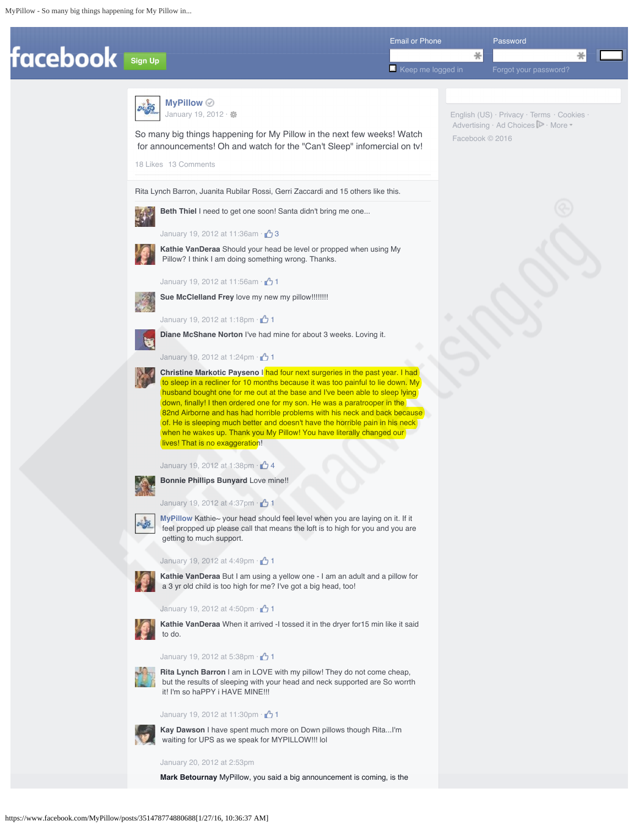